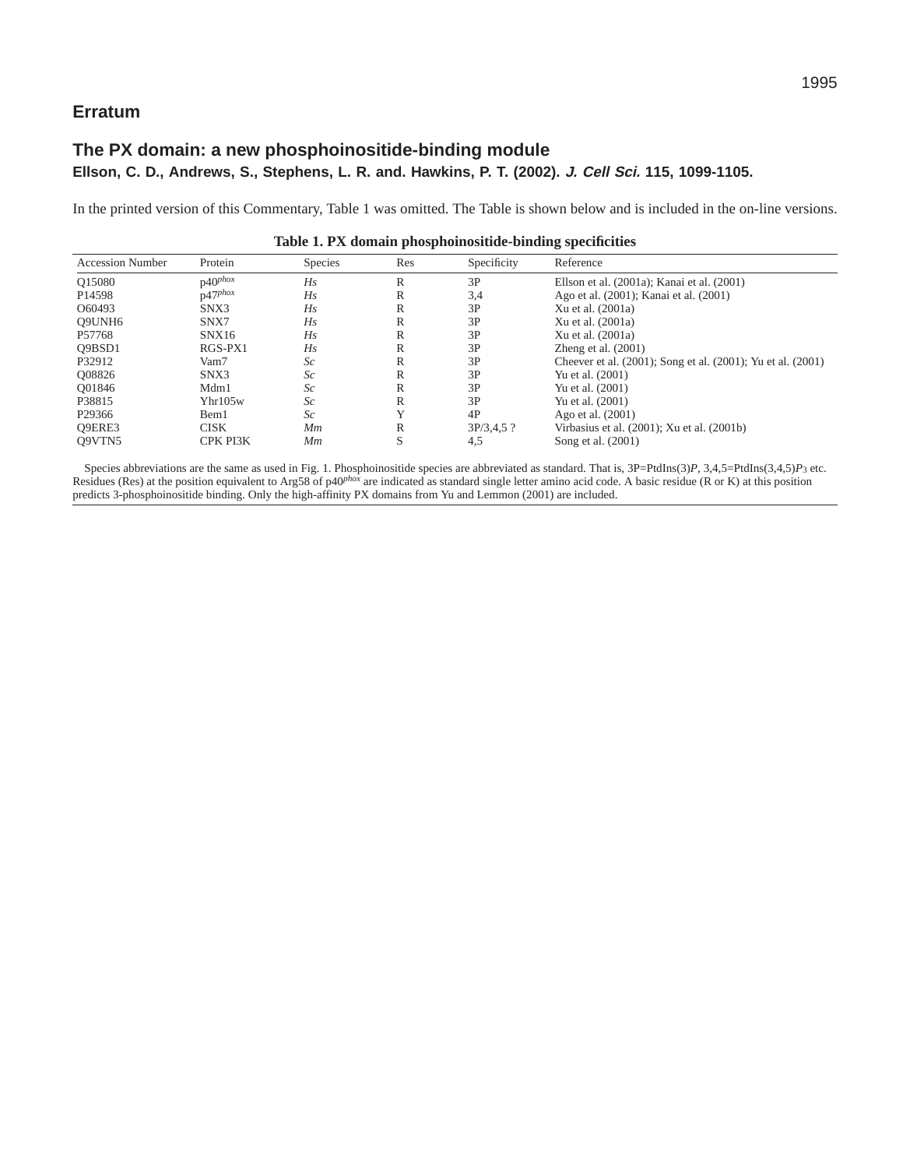## **Erratum**

## **The PX domain: a new phosphoinositide-binding module Ellson, C. D., Andrews, S., Stephens, L. R. and. Hawkins, P. T. (2002). J. Cell Sci. 115, 1099-1105.**

In the printed version of this Commentary, Table 1 was omitted. The Table is shown below and is included in the on-line versions.

| <b>Accession Number</b> | Protein             | <b>Species</b> | Res | Specificity  | Reference                                                   |
|-------------------------|---------------------|----------------|-----|--------------|-------------------------------------------------------------|
| Q15080                  | $p40$ phox          | Hs             | R   | 3P           | Ellson et al. (2001a); Kanai et al. (2001)                  |
| P <sub>14598</sub>      | $p47$ phox          | Hs             | R   | 3,4          | Ago et al. (2001); Kanai et al. (2001)                      |
| O60493                  | SNX3                | Hs             | R   | 3P           | Xu et al. (2001a)                                           |
| O9UNH6                  | SNX7                | Hs             | R   | 3P           | Xu et al. (2001a)                                           |
| P57768                  | SNX16               | Hs             | R   | 3P           | Xu et al. (2001a)                                           |
| O9BSD1                  | RGS-PX1             | Hs             | R   | 3P           | Zheng et al. $(2001)$                                       |
| P32912                  | Vam7                | Sc             | R   | 3P           | Cheever et al. (2001); Song et al. (2001); Yu et al. (2001) |
| O08826                  | SNX3                | Sc             | R   | 3P           | Yu et al. (2001)                                            |
| O01846                  | Mdm1                | Sc             | R   | 3P           | Yu et al. (2001)                                            |
| P38815                  | Y <sub>hr105w</sub> | Sc             | R   | 3P           | Yu et al. (2001)                                            |
| P29366                  | Bem1                | Sc             | Y   | 4P           | Ago et al. (2001)                                           |
| O9ERE3                  | <b>CISK</b>         | Мm             | R   | $3P/3,4,5$ ? | Virbasius et al. (2001); Xu et al. (2001b)                  |
| Q9VTN5                  | CPK PI3K            | Мm             | S   | 4,5          | Song et al. (2001)                                          |

**Table 1. PX domain phosphoinositide-binding specificities**

Species abbreviations are the same as used in Fig. 1. Phosphoinositide species are abbreviated as standard. That is,  $3P=PtdIns(3)P$ ,  $3,4,5=PtdIns(3,4,5)P_3$  etc. Residues (Res) at the position equivalent to Arg58 of p40<sup>*phox*</sup> are indicated as standard single letter amino acid code. A basic residue (R or K) at this position predicts 3-phosphoinositide binding. Only the high-affinity PX domains from Yu and Lemmon (2001) are included.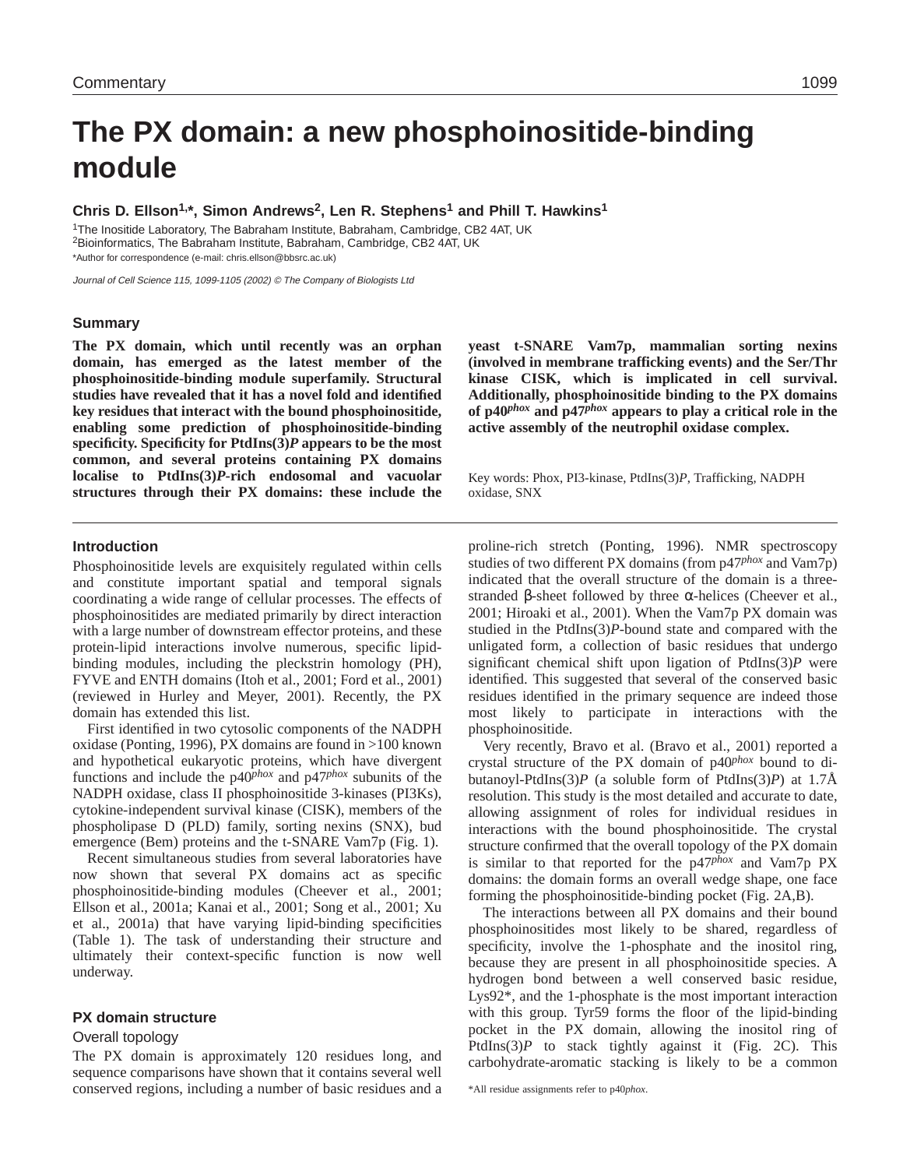# **The PX domain: a new phosphoinositide-binding module**

**Chris D. Ellson1,\*, Simon Andrews2, Len R. Stephens1 and Phill T. Hawkins1**

1The Inositide Laboratory, The Babraham Institute, Babraham, Cambridge, CB2 4AT, UK 2Bioinformatics, The Babraham Institute, Babraham, Cambridge, CB2 4AT, UK \*Author for correspondence (e-mail: chris.ellson@bbsrc.ac.uk)

Journal of Cell Science 115, 1099-1105 (2002) © The Company of Biologists Ltd

#### **Summary**

**The PX domain, which until recently was an orphan domain, has emerged as the latest member of the phosphoinositide-binding module superfamily. Structural studies have revealed that it has a novel fold and identified key residues that interact with the bound phosphoinositide, enabling some prediction of phosphoinositide-binding specificity. Specificity for PtdIns(3)***P* **appears to be the most common, and several proteins containing PX domains localise to PtdIns(3)***P***-rich endosomal and vacuolar structures through their PX domains: these include the** **yeast t-SNARE Vam7p, mammalian sorting nexins (involved in membrane trafficking events) and the Ser/Thr kinase CISK, which is implicated in cell survival. Additionally, phosphoinositide binding to the PX domains of p40***phox* **and p47***phox* **appears to play a critical role in the active assembly of the neutrophil oxidase complex.**

Key words: Phox, PI3-kinase, PtdIns(3)*P*, Trafficking, NADPH oxidase, SNX

#### **Introduction**

Phosphoinositide levels are exquisitely regulated within cells and constitute important spatial and temporal signals coordinating a wide range of cellular processes. The effects of phosphoinositides are mediated primarily by direct interaction with a large number of downstream effector proteins, and these protein-lipid interactions involve numerous, specific lipidbinding modules, including the pleckstrin homology (PH), FYVE and ENTH domains (Itoh et al., 2001; Ford et al., 2001) (reviewed in Hurley and Meyer, 2001). Recently, the PX domain has extended this list.

First identified in two cytosolic components of the NADPH oxidase (Ponting, 1996), PX domains are found in >100 known and hypothetical eukaryotic proteins, which have divergent functions and include the p40*phox* and p47*phox* subunits of the NADPH oxidase, class II phosphoinositide 3-kinases (PI3Ks), cytokine-independent survival kinase (CISK), members of the phospholipase D (PLD) family, sorting nexins (SNX), bud emergence (Bem) proteins and the t-SNARE Vam7p (Fig. 1).

Recent simultaneous studies from several laboratories have now shown that several PX domains act as specific phosphoinositide-binding modules (Cheever et al., 2001; Ellson et al., 2001a; Kanai et al., 2001; Song et al., 2001; Xu et al., 2001a) that have varying lipid-binding specificities (Table 1). The task of understanding their structure and ultimately their context-specific function is now well underway.

#### **PX domain structure**

#### Overall topology

The PX domain is approximately 120 residues long, and sequence comparisons have shown that it contains several well conserved regions, including a number of basic residues and a proline-rich stretch (Ponting, 1996). NMR spectroscopy studies of two different PX domains (from p47*phox* and Vam7p) indicated that the overall structure of the domain is a threestranded β-sheet followed by three α-helices (Cheever et al., 2001; Hiroaki et al., 2001). When the Vam7p PX domain was studied in the PtdIns(3)*P*-bound state and compared with the unligated form, a collection of basic residues that undergo significant chemical shift upon ligation of PtdIns(3)*P* were identified. This suggested that several of the conserved basic residues identified in the primary sequence are indeed those most likely to participate in interactions with the phosphoinositide.

Very recently, Bravo et al. (Bravo et al., 2001) reported a crystal structure of the PX domain of p40*phox* bound to dibutanoyl-PtdIns(3)*P* (a soluble form of PtdIns(3)*P*) at 1.7Å resolution. This study is the most detailed and accurate to date, allowing assignment of roles for individual residues in interactions with the bound phosphoinositide. The crystal structure confirmed that the overall topology of the PX domain is similar to that reported for the p47*phox* and Vam7p PX domains: the domain forms an overall wedge shape, one face forming the phosphoinositide-binding pocket (Fig. 2A,B).

The interactions between all PX domains and their bound phosphoinositides most likely to be shared, regardless of specificity, involve the 1-phosphate and the inositol ring, because they are present in all phosphoinositide species. A hydrogen bond between a well conserved basic residue, Lys92\*, and the 1-phosphate is the most important interaction with this group. Tyr59 forms the floor of the lipid-binding pocket in the PX domain, allowing the inositol ring of PtdIns(3)P to stack tightly against it (Fig. 2C). This carbohydrate-aromatic stacking is likely to be a common

\*All residue assignments refer to p40*phox*.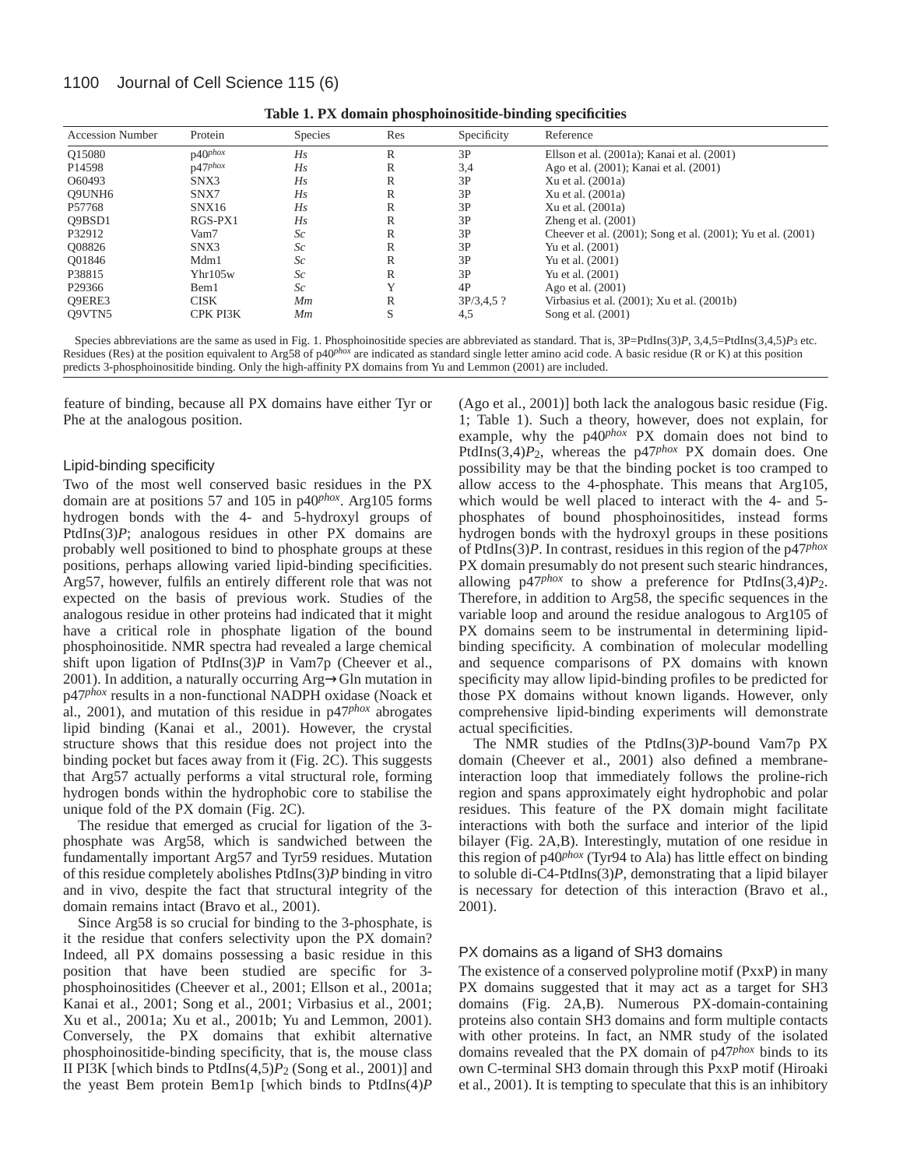### 1100 Journal of Cell Science 115 (6)

| <b>Accession Number</b> | Protein             | <b>Species</b> | Res         | Specificity  | Reference                                                   |
|-------------------------|---------------------|----------------|-------------|--------------|-------------------------------------------------------------|
| Q15080                  | $p40^{phox}$        | Hs             | R           | 3P           | Ellson et al. (2001a); Kanai et al. (2001)                  |
| P <sub>14598</sub>      | $p47$ phox          | Hs             | R           | 3,4          | Ago et al. (2001); Kanai et al. (2001)                      |
| O60493                  | SNX3                | Hs             | R           | 3P           | Xu et al. (2001a)                                           |
| Q9UNH6                  | SNX7                | Hs             | R           | 3P           | Xu et al. (2001a)                                           |
| P57768                  | SNX16               | Hs             | R           | 3P           | Xu et al. (2001a)                                           |
| O9BSD1                  | RGS-PX1             | Hs             | R           | 3P           | Zheng et al. $(2001)$                                       |
| P32912                  | Vam7                | Sc             | R           | 3P           | Cheever et al. (2001); Song et al. (2001); Yu et al. (2001) |
| O08826                  | SNX3                | Sc             | R           | 3P           | Yu et al. (2001)                                            |
| O01846                  | Mdm1                | Sc             | R           | 3P           | Yu et al. (2001)                                            |
| P38815                  | Y <sub>hr105w</sub> | Sc             | R           | 3P           | Yu et al. (2001)                                            |
| P29366                  | Bem1                | Sc             | $\mathbf v$ | 4P           | Ago et al. (2001)                                           |
| O9ERE3                  | <b>CISK</b>         | Mm             | R           | $3P/3,4,5$ ? | Virbasius et al. (2001); Xu et al. (2001b)                  |
| O9VTN5                  | CPK PI3K            | Мm             | S           | 4,5          | Song et al. (2001)                                          |

**Table 1. PX domain phosphoinositide-binding specificities**

Species abbreviations are the same as used in Fig. 1. Phosphoinositide species are abbreviated as standard. That is, 3P=PtdIns(3)*P*, 3,4,5=PtdIns(3,4,5)*P*<sub>3</sub> etc. Residues (Res) at the position equivalent to Arg58 of p40<sup>*phox*</sup> are indicated as standard single letter amino acid code. A basic residue (R or K) at this position predicts 3-phosphoinositide binding. Only the high-affinity PX domains from Yu and Lemmon (2001) are included.

feature of binding, because all PX domains have either Tyr or Phe at the analogous position.

#### Lipid-binding specificity

Two of the most well conserved basic residues in the PX domain are at positions 57 and 105 in p40*phox*. Arg105 forms hydrogen bonds with the 4- and 5-hydroxyl groups of PtdIns(3)*P*; analogous residues in other PX domains are probably well positioned to bind to phosphate groups at these positions, perhaps allowing varied lipid-binding specificities. Arg57, however, fulfils an entirely different role that was not expected on the basis of previous work. Studies of the analogous residue in other proteins had indicated that it might have a critical role in phosphate ligation of the bound phosphoinositide. NMR spectra had revealed a large chemical shift upon ligation of PtdIns(3)*P* in Vam7p (Cheever et al., 2001). In addition, a naturally occurring Arg→Gln mutation in p47*phox* results in a non-functional NADPH oxidase (Noack et al., 2001), and mutation of this residue in p47*phox* abrogates lipid binding (Kanai et al., 2001). However, the crystal structure shows that this residue does not project into the binding pocket but faces away from it (Fig. 2C). This suggests that Arg57 actually performs a vital structural role, forming hydrogen bonds within the hydrophobic core to stabilise the unique fold of the PX domain (Fig. 2C).

The residue that emerged as crucial for ligation of the 3 phosphate was Arg58, which is sandwiched between the fundamentally important Arg57 and Tyr59 residues. Mutation of this residue completely abolishes PtdIns(3)*P* binding in vitro and in vivo, despite the fact that structural integrity of the domain remains intact (Bravo et al., 2001).

Since Arg58 is so crucial for binding to the 3-phosphate, is it the residue that confers selectivity upon the PX domain? Indeed, all PX domains possessing a basic residue in this position that have been studied are specific for 3 phosphoinositides (Cheever et al., 2001; Ellson et al., 2001a; Kanai et al., 2001; Song et al., 2001; Virbasius et al., 2001; Xu et al., 2001a; Xu et al., 2001b; Yu and Lemmon, 2001). Conversely, the PX domains that exhibit alternative phosphoinositide-binding specificity, that is, the mouse class II PI3K [which binds to PtdIns(4,5)*P*2 (Song et al., 2001)] and the yeast Bem protein Bem1p [which binds to PtdIns(4)*P*

(Ago et al., 2001)] both lack the analogous basic residue (Fig. 1; Table 1). Such a theory, however, does not explain, for example, why the p40*phox* PX domain does not bind to PtdIns(3,4)*P*2, whereas the p47*phox* PX domain does. One possibility may be that the binding pocket is too cramped to allow access to the 4-phosphate. This means that Arg105, which would be well placed to interact with the 4- and 5 phosphates of bound phosphoinositides, instead forms hydrogen bonds with the hydroxyl groups in these positions of PtdIns(3)*P*. In contrast, residues in this region of the p47*phox* PX domain presumably do not present such stearic hindrances, allowing p47*phox* to show a preference for PtdIns(3,4)*P*2. Therefore, in addition to Arg58, the specific sequences in the variable loop and around the residue analogous to Arg105 of PX domains seem to be instrumental in determining lipidbinding specificity. A combination of molecular modelling and sequence comparisons of PX domains with known specificity may allow lipid-binding profiles to be predicted for those PX domains without known ligands. However, only comprehensive lipid-binding experiments will demonstrate actual specificities.

The NMR studies of the PtdIns(3)*P*-bound Vam7p PX domain (Cheever et al., 2001) also defined a membraneinteraction loop that immediately follows the proline-rich region and spans approximately eight hydrophobic and polar residues. This feature of the PX domain might facilitate interactions with both the surface and interior of the lipid bilayer (Fig. 2A,B). Interestingly, mutation of one residue in this region of p40*phox* (Tyr94 to Ala) has little effect on binding to soluble di-C4-PtdIns(3)*P*, demonstrating that a lipid bilayer is necessary for detection of this interaction (Bravo et al., 2001).

#### PX domains as a ligand of SH3 domains

The existence of a conserved polyproline motif (PxxP) in many PX domains suggested that it may act as a target for SH3 domains (Fig. 2A,B). Numerous PX-domain-containing proteins also contain SH3 domains and form multiple contacts with other proteins. In fact, an NMR study of the isolated domains revealed that the PX domain of p47*phox* binds to its own C-terminal SH3 domain through this PxxP motif (Hiroaki et al., 2001). It is tempting to speculate that this is an inhibitory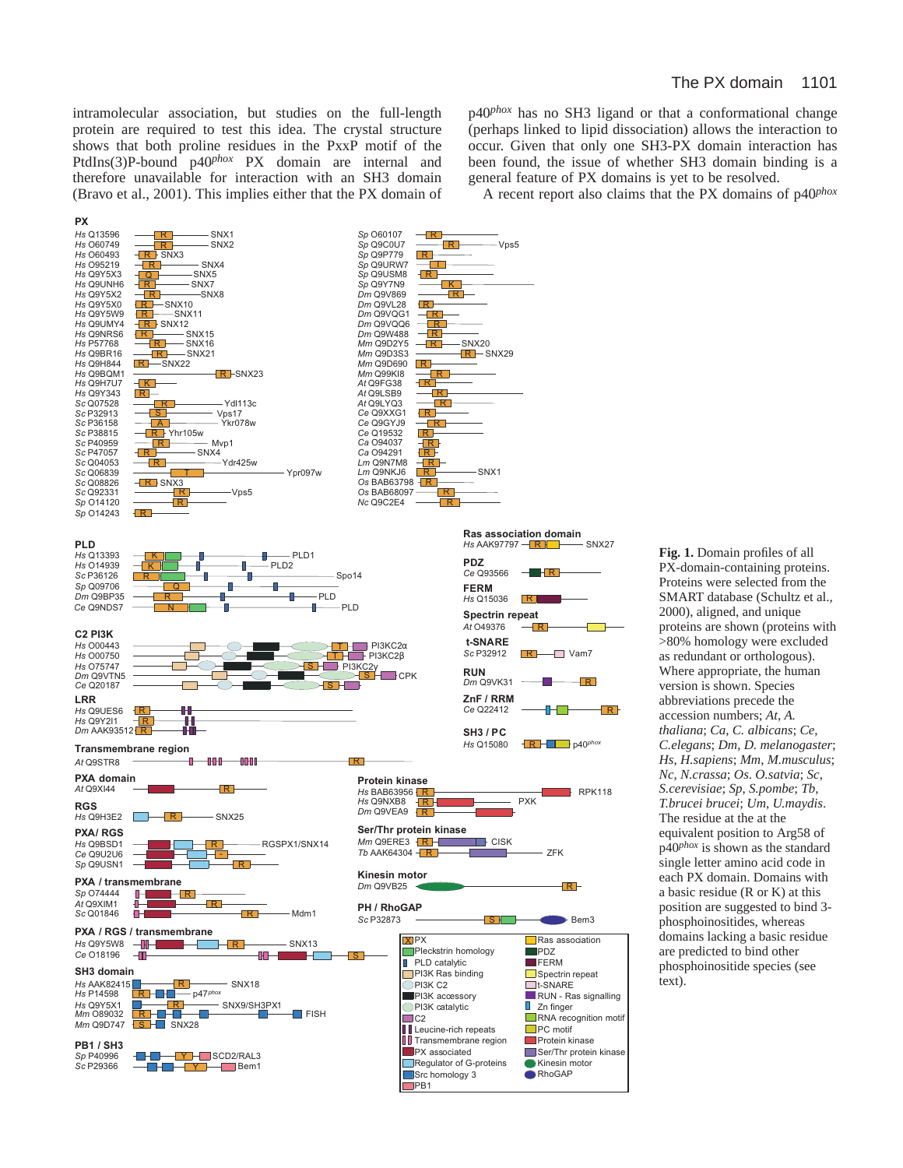intramolecular association, but studies on the full-length protein are required to test this idea. The crystal structure shows that both proline residues in the PxxP motif of the PtdIns(3)P-bound p40*phox* PX domain are internal and therefore unavailable for interaction with an SH3 domain (Bravo et al., 2001). This implies either that the PX domain of p40*phox* has no SH3 ligand or that a conformational change (perhaps linked to lipid dissociation) allows the interaction to occur. Given that only one SH3-PX domain interaction has been found, the issue of whether SH3 domain binding is a general feature of PX domains is yet to be resolved.

A recent report also claims that the PX domains of p40*phox*



**Fig. 1.** Domain profiles of all PX-domain-containing proteins. Proteins were selected from the SMART database (Schultz et al., 2000), aligned, and unique proteins are shown (proteins with >80% homology were excluded as redundant or orthologous). Where appropriate, the human version is shown. Species abbreviations precede the accession numbers; *At*, *A. thaliana*; *Ca*, *C. albicans*; *Ce*, *C.elegans*; *Dm*, *D. melanogaster*; *Hs*, *H.sapiens*; *Mm*, *M.musculus*; *Nc*, *N.crassa*; *Os*. *O.satvia*; *Sc*, *S.cerevisiae*; *Sp*, *S.pombe*; *Tb*, *T.brucei brucei*; *Um*, *U.maydis*. The residue at the at the equivalent position to Arg58 of p40*phox* is shown as the standard single letter amino acid code in each PX domain. Domains with a basic residue (R or K) at this position are suggested to bind 3 phosphoinositides, whereas domains lacking a basic residue are predicted to bind other phosphoinositide species (see text).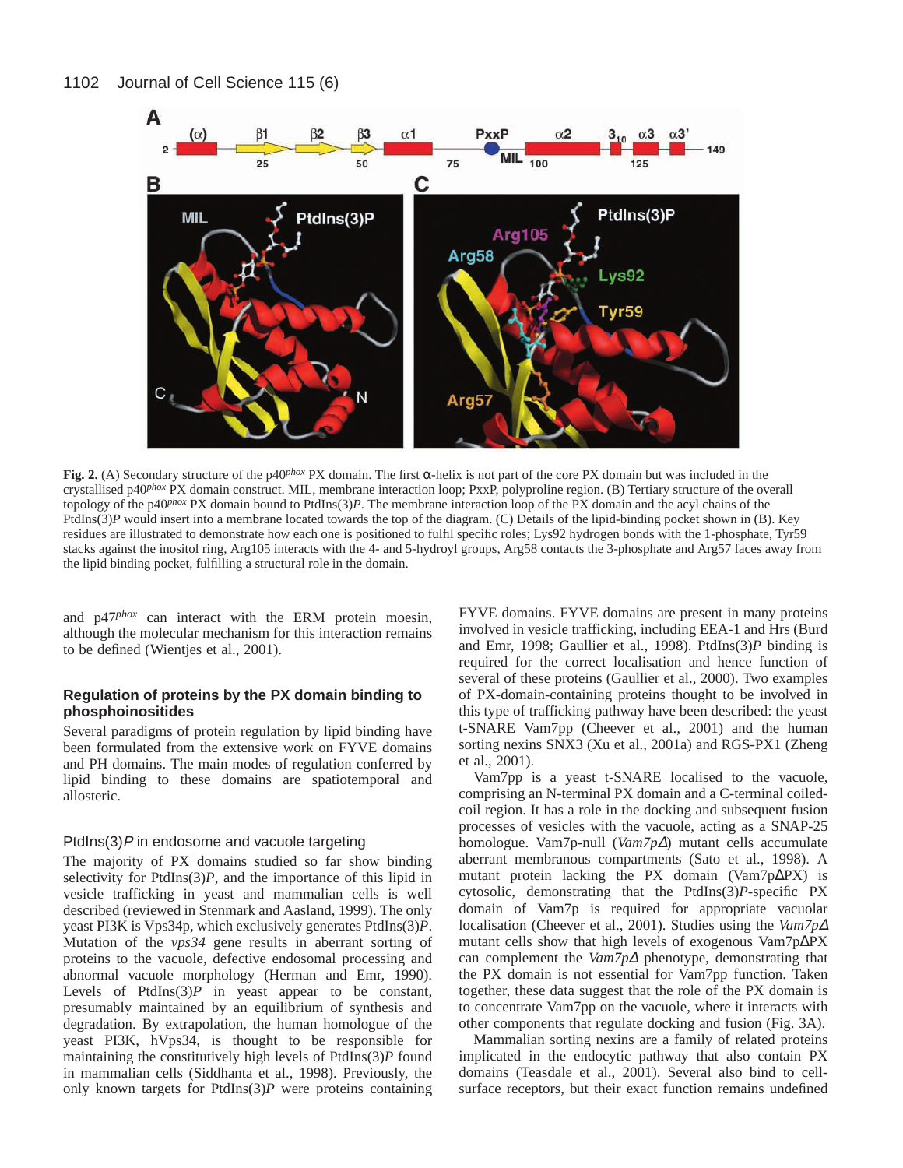

**Fig. 2.** (A) Secondary structure of the p40<sup>*phox*</sup> PX domain. The first  $\alpha$ -helix is not part of the core PX domain but was included in the crystallised p40*phox* PX domain construct. MIL, membrane interaction loop; PxxP, polyproline region. (B) Tertiary structure of the overall topology of the p40*phox* PX domain bound to PtdIns(3)*P*. The membrane interaction loop of the PX domain and the acyl chains of the PtdIns(3)*P* would insert into a membrane located towards the top of the diagram. (C) Details of the lipid-binding pocket shown in (B). Key residues are illustrated to demonstrate how each one is positioned to fulfil specific roles; Lys92 hydrogen bonds with the 1-phosphate, Tyr59 stacks against the inositol ring, Arg105 interacts with the 4- and 5-hydroyl groups, Arg58 contacts the 3-phosphate and Arg57 faces away from the lipid binding pocket, fulfilling a structural role in the domain.

and p47*phox* can interact with the ERM protein moesin, although the molecular mechanism for this interaction remains to be defined (Wientjes et al., 2001).

### **Regulation of proteins by the PX domain binding to phosphoinositides**

Several paradigms of protein regulation by lipid binding have been formulated from the extensive work on FYVE domains and PH domains. The main modes of regulation conferred by lipid binding to these domains are spatiotemporal and allosteric.

#### PtdIns $(3)$ P in endosome and vacuole targeting

The majority of PX domains studied so far show binding selectivity for PtdIns(3)*P*, and the importance of this lipid in vesicle trafficking in yeast and mammalian cells is well described (reviewed in Stenmark and Aasland, 1999). The only yeast PI3K is Vps34p, which exclusively generates PtdIns(3)*P*. Mutation of the *vps34* gene results in aberrant sorting of proteins to the vacuole, defective endosomal processing and abnormal vacuole morphology (Herman and Emr, 1990). Levels of PtdIns $(3)$ *P* in yeast appear to be constant, presumably maintained by an equilibrium of synthesis and degradation. By extrapolation, the human homologue of the yeast PI3K, hVps34, is thought to be responsible for maintaining the constitutively high levels of PtdIns(3)*P* found in mammalian cells (Siddhanta et al., 1998). Previously, the only known targets for PtdIns(3)*P* were proteins containing

FYVE domains. FYVE domains are present in many proteins involved in vesicle trafficking, including EEA-1 and Hrs (Burd and Emr, 1998; Gaullier et al., 1998). PtdIns(3)*P* binding is required for the correct localisation and hence function of several of these proteins (Gaullier et al., 2000). Two examples of PX-domain-containing proteins thought to be involved in this type of trafficking pathway have been described: the yeast t-SNARE Vam7pp (Cheever et al., 2001) and the human sorting nexins SNX3 (Xu et al., 2001a) and RGS-PX1 (Zheng et al., 2001).

Vam7pp is a yeast t-SNARE localised to the vacuole, comprising an N-terminal PX domain and a C-terminal coiledcoil region. It has a role in the docking and subsequent fusion processes of vesicles with the vacuole, acting as a SNAP-25 homologue. Vam7p-null (*Vam7p*∆) mutant cells accumulate aberrant membranous compartments (Sato et al., 1998). A mutant protein lacking the PX domain (Vam7p∆PX) is cytosolic, demonstrating that the PtdIns(3)*P*-specific PX domain of Vam7p is required for appropriate vacuolar localisation (Cheever et al., 2001). Studies using the *Vam7p*<sup>∆</sup> mutant cells show that high levels of exogenous Vam7p∆PX can complement the *Vam7p*<sup>∆</sup> phenotype, demonstrating that the PX domain is not essential for Vam7pp function. Taken together, these data suggest that the role of the PX domain is to concentrate Vam7pp on the vacuole, where it interacts with other components that regulate docking and fusion (Fig. 3A).

Mammalian sorting nexins are a family of related proteins implicated in the endocytic pathway that also contain PX domains (Teasdale et al., 2001). Several also bind to cellsurface receptors, but their exact function remains undefined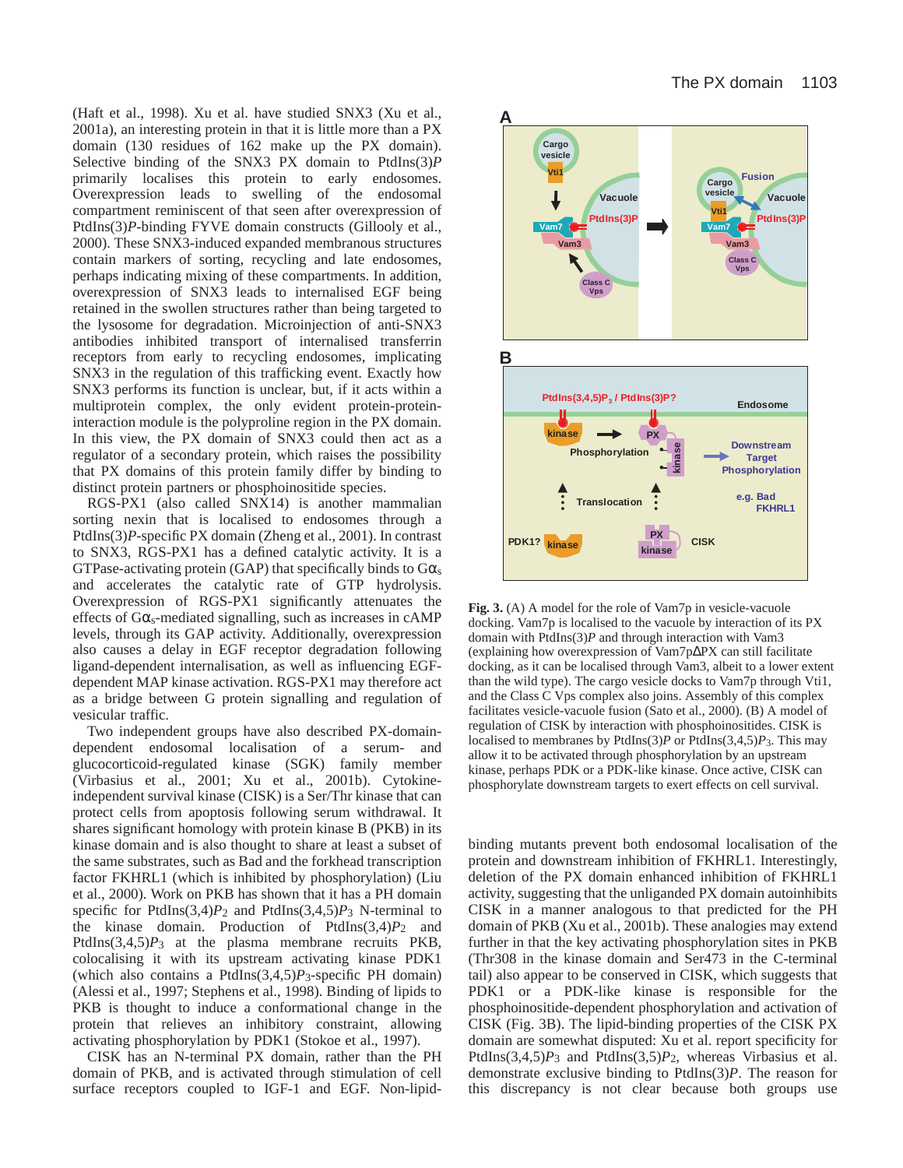(Haft et al., 1998). Xu et al. have studied SNX3 (Xu et al., 2001a), an interesting protein in that it is little more than a PX domain (130 residues of 162 make up the PX domain). Selective binding of the SNX3 PX domain to PtdIns(3)*P* primarily localises this protein to early endosomes. Overexpression leads to swelling of the endosomal compartment reminiscent of that seen after overexpression of PtdIns(3)*P*-binding FYVE domain constructs (Gillooly et al., 2000). These SNX3-induced expanded membranous structures contain markers of sorting, recycling and late endosomes, perhaps indicating mixing of these compartments. In addition, overexpression of SNX3 leads to internalised EGF being retained in the swollen structures rather than being targeted to the lysosome for degradation. Microinjection of anti-SNX3 antibodies inhibited transport of internalised transferrin receptors from early to recycling endosomes, implicating SNX3 in the regulation of this trafficking event. Exactly how SNX3 performs its function is unclear, but, if it acts within a multiprotein complex, the only evident protein-proteininteraction module is the polyproline region in the PX domain. In this view, the PX domain of SNX3 could then act as a regulator of a secondary protein, which raises the possibility that PX domains of this protein family differ by binding to distinct protein partners or phosphoinositide species.

RGS-PX1 (also called SNX14) is another mammalian sorting nexin that is localised to endosomes through a PtdIns(3)*P*-specific PX domain (Zheng et al., 2001). In contrast to SNX3, RGS-PX1 has a defined catalytic activity. It is a GTPase-activating protein (GAP) that specifically binds to  $G\alpha_s$ and accelerates the catalytic rate of GTP hydrolysis. Overexpression of RGS-PX1 significantly attenuates the effects of  $G\alpha_s$ -mediated signalling, such as increases in cAMP levels, through its GAP activity. Additionally, overexpression also causes a delay in EGF receptor degradation following ligand-dependent internalisation, as well as influencing EGFdependent MAP kinase activation. RGS-PX1 may therefore act as a bridge between G protein signalling and regulation of vesicular traffic.

Two independent groups have also described PX-domaindependent endosomal localisation of a serum- and glucocorticoid-regulated kinase (SGK) family member (Virbasius et al., 2001; Xu et al., 2001b). Cytokineindependent survival kinase (CISK) is a Ser/Thr kinase that can protect cells from apoptosis following serum withdrawal. It shares significant homology with protein kinase B (PKB) in its kinase domain and is also thought to share at least a subset of the same substrates, such as Bad and the forkhead transcription factor FKHRL1 (which is inhibited by phosphorylation) (Liu et al., 2000). Work on PKB has shown that it has a PH domain specific for PtdIns $(3,4)P_2$  and PtdIns $(3,4,5)P_3$  N-terminal to the kinase domain. Production of PtdIns $(3,4)P_2$  and PtdIns(3,4,5)*P*3 at the plasma membrane recruits PKB, colocalising it with its upstream activating kinase PDK1 (which also contains a PtdIns(3,4,5)*P*3-specific PH domain) (Alessi et al., 1997; Stephens et al., 1998). Binding of lipids to PKB is thought to induce a conformational change in the protein that relieves an inhibitory constraint, allowing activating phosphorylation by PDK1 (Stokoe et al., 1997).

CISK has an N-terminal PX domain, rather than the PH domain of PKB, and is activated through stimulation of cell surface receptors coupled to IGF-1 and EGF. Non-lipid-



**Fig. 3.** (A) A model for the role of Vam7p in vesicle-vacuole docking. Vam7p is localised to the vacuole by interaction of its PX domain with PtdIns(3)*P* and through interaction with Vam3 (explaining how overexpression of Vam7p∆PX can still facilitate docking, as it can be localised through Vam3, albeit to a lower extent than the wild type). The cargo vesicle docks to Vam7p through Vti1, and the Class C Vps complex also joins. Assembly of this complex facilitates vesicle-vacuole fusion (Sato et al., 2000). (B) A model of regulation of CISK by interaction with phosphoinositides. CISK is localised to membranes by PtdIns(3)*P* or PtdIns(3,4,5)*P*3. This may allow it to be activated through phosphorylation by an upstream kinase, perhaps PDK or a PDK-like kinase. Once active, CISK can phosphorylate downstream targets to exert effects on cell survival.

binding mutants prevent both endosomal localisation of the protein and downstream inhibition of FKHRL1. Interestingly, deletion of the PX domain enhanced inhibition of FKHRL1 activity, suggesting that the unliganded PX domain autoinhibits CISK in a manner analogous to that predicted for the PH domain of PKB (Xu et al., 2001b). These analogies may extend further in that the key activating phosphorylation sites in PKB (Thr308 in the kinase domain and Ser473 in the C-terminal tail) also appear to be conserved in CISK, which suggests that PDK1 or a PDK-like kinase is responsible for the phosphoinositide-dependent phosphorylation and activation of CISK (Fig. 3B). The lipid-binding properties of the CISK PX domain are somewhat disputed: Xu et al. report specificity for PtdIns $(3,4,5)P_3$  and PtdIns $(3,5)P_2$ , whereas Virbasius et al. demonstrate exclusive binding to PtdIns(3)*P*. The reason for this discrepancy is not clear because both groups use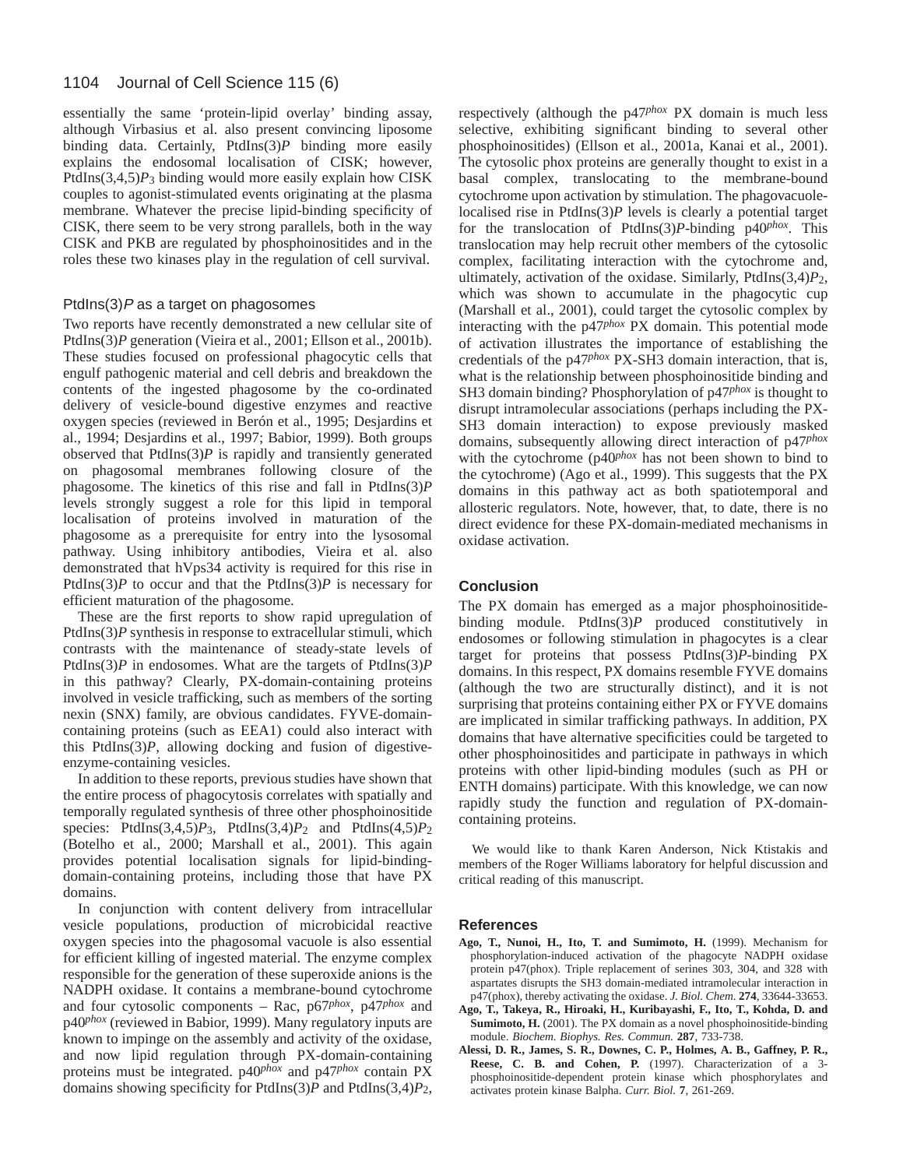#### 1104 Journal of Cell Science 115 (6)

essentially the same 'protein-lipid overlay' binding assay, although Virbasius et al. also present convincing liposome binding data. Certainly, PtdIns(3)*P* binding more easily explains the endosomal localisation of CISK; however, PtdIns(3,4,5)*P*3 binding would more easily explain how CISK couples to agonist-stimulated events originating at the plasma membrane. Whatever the precise lipid-binding specificity of CISK, there seem to be very strong parallels, both in the way CISK and PKB are regulated by phosphoinositides and in the roles these two kinases play in the regulation of cell survival.

#### PtdIns $(3)$ P as a target on phagosomes

Two reports have recently demonstrated a new cellular site of PtdIns(3)P generation (Vieira et al., 2001; Ellson et al., 2001b). These studies focused on professional phagocytic cells that engulf pathogenic material and cell debris and breakdown the contents of the ingested phagosome by the co-ordinated delivery of vesicle-bound digestive enzymes and reactive oxygen species (reviewed in Berón et al., 1995; Desjardins et al., 1994; Desjardins et al., 1997; Babior, 1999). Both groups observed that  $PtdIns(3)P$  is rapidly and transiently generated on phagosomal membranes following closure of the phagosome. The kinetics of this rise and fall in PtdIns(3)*P* levels strongly suggest a role for this lipid in temporal localisation of proteins involved in maturation of the phagosome as a prerequisite for entry into the lysosomal pathway. Using inhibitory antibodies, Vieira et al. also demonstrated that hVps34 activity is required for this rise in PtdIns(3) $P$  to occur and that the PtdIns(3) $P$  is necessary for efficient maturation of the phagosome.

These are the first reports to show rapid upregulation of PtdIns(3)*P* synthesis in response to extracellular stimuli, which contrasts with the maintenance of steady-state levels of PtdIns(3)*P* in endosomes. What are the targets of PtdIns(3)*P* in this pathway? Clearly, PX-domain-containing proteins involved in vesicle trafficking, such as members of the sorting nexin (SNX) family, are obvious candidates. FYVE-domaincontaining proteins (such as EEA1) could also interact with this PtdIns(3)*P*, allowing docking and fusion of digestiveenzyme-containing vesicles.

In addition to these reports, previous studies have shown that the entire process of phagocytosis correlates with spatially and temporally regulated synthesis of three other phosphoinositide species: PtdIns(3,4,5)*P*3, PtdIns(3,4)*P*2 and PtdIns(4,5)*P*2 (Botelho et al., 2000; Marshall et al., 2001). This again provides potential localisation signals for lipid-bindingdomain-containing proteins, including those that have PX domains.

In conjunction with content delivery from intracellular vesicle populations, production of microbicidal reactive oxygen species into the phagosomal vacuole is also essential for efficient killing of ingested material. The enzyme complex responsible for the generation of these superoxide anions is the NADPH oxidase. It contains a membrane-bound cytochrome and four cytosolic components – Rac, p67*phox*, p47*phox* and p40*phox* (reviewed in Babior, 1999). Many regulatory inputs are known to impinge on the assembly and activity of the oxidase, and now lipid regulation through PX-domain-containing proteins must be integrated. p40*phox* and p47*phox* contain PX domains showing specificity for PtdIns(3)*P* and PtdIns(3,4)*P*2, respectively (although the p47*phox* PX domain is much less selective, exhibiting significant binding to several other phosphoinositides) (Ellson et al., 2001a, Kanai et al., 2001). The cytosolic phox proteins are generally thought to exist in a basal complex, translocating to the membrane-bound cytochrome upon activation by stimulation. The phagovacuolelocalised rise in PtdIns(3)*P* levels is clearly a potential target for the translocation of PtdIns(3)*P*-binding p40*phox*. This translocation may help recruit other members of the cytosolic complex, facilitating interaction with the cytochrome and, ultimately, activation of the oxidase. Similarly, PtdIns(3,4)*P*2, which was shown to accumulate in the phagocytic cup (Marshall et al., 2001), could target the cytosolic complex by interacting with the p47*phox* PX domain. This potential mode of activation illustrates the importance of establishing the credentials of the p47*phox* PX-SH3 domain interaction, that is, what is the relationship between phosphoinositide binding and SH3 domain binding? Phosphorylation of p47*phox* is thought to disrupt intramolecular associations (perhaps including the PX-SH3 domain interaction) to expose previously masked domains, subsequently allowing direct interaction of p47*phox* with the cytochrome (p40*phox* has not been shown to bind to the cytochrome) (Ago et al., 1999). This suggests that the PX domains in this pathway act as both spatiotemporal and allosteric regulators. Note, however, that, to date, there is no direct evidence for these PX-domain-mediated mechanisms in oxidase activation.

#### **Conclusion**

The PX domain has emerged as a major phosphoinositidebinding module. PtdIns(3)*P* produced constitutively in endosomes or following stimulation in phagocytes is a clear target for proteins that possess PtdIns(3)*P*-binding PX domains. In this respect, PX domains resemble FYVE domains (although the two are structurally distinct), and it is not surprising that proteins containing either PX or FYVE domains are implicated in similar trafficking pathways. In addition, PX domains that have alternative specificities could be targeted to other phosphoinositides and participate in pathways in which proteins with other lipid-binding modules (such as PH or ENTH domains) participate. With this knowledge, we can now rapidly study the function and regulation of PX-domaincontaining proteins.

We would like to thank Karen Anderson, Nick Ktistakis and members of the Roger Williams laboratory for helpful discussion and critical reading of this manuscript.

#### **References**

- **Ago, T., Nunoi, H., Ito, T. and Sumimoto, H.** (1999). Mechanism for phosphorylation-induced activation of the phagocyte NADPH oxidase protein p47(phox). Triple replacement of serines 303, 304, and 328 with aspartates disrupts the SH3 domain-mediated intramolecular interaction in p47(phox), thereby activating the oxidase. *J. Biol. Chem.* **274**, 33644-33653.
- **Ago, T., Takeya, R., Hiroaki, H., Kuribayashi, F., Ito, T., Kohda, D. and Sumimoto, H.** (2001). The PX domain as a novel phosphoinositide-binding module. *Biochem. Biophys. Res. Commun.* **287**, 733-738.
- **Alessi, D. R., James, S. R., Downes, C. P., Holmes, A. B., Gaffney, P. R., Reese, C. B. and Cohen, P.** (1997). Characterization of a 3 phosphoinositide-dependent protein kinase which phosphorylates and activates protein kinase Balpha. *Curr. Biol.* **7**, 261-269.